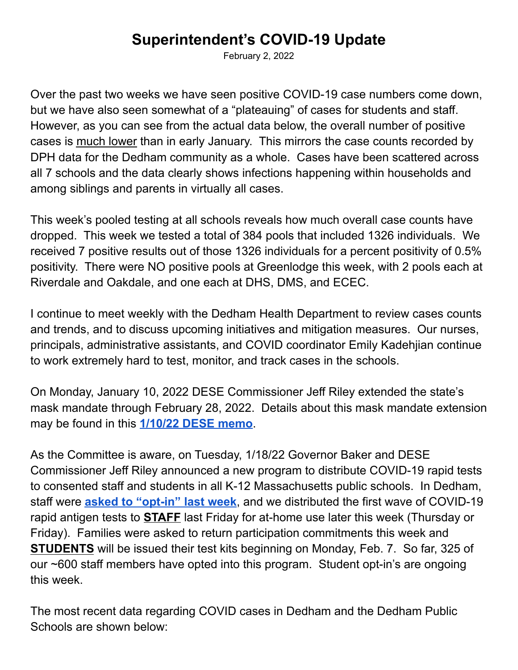## **Superintendent's COVID-19 Update**

February 2, 2022

Over the past two weeks we have seen positive COVID-19 case numbers come down, but we have also seen somewhat of a "plateauing" of cases for students and staff. However, as you can see from the actual data below, the overall number of positive cases is much lower than in early January. This mirrors the case counts recorded by DPH data for the Dedham community as a whole. Cases have been scattered across all 7 schools and the data clearly shows infections happening within households and among siblings and parents in virtually all cases.

This week's pooled testing at all schools reveals how much overall case counts have dropped. This week we tested a total of 384 pools that included 1326 individuals. We received 7 positive results out of those 1326 individuals for a percent positivity of 0.5% positivity. There were NO positive pools at Greenlodge this week, with 2 pools each at Riverdale and Oakdale, and one each at DHS, DMS, and ECEC.

I continue to meet weekly with the Dedham Health Department to review cases counts and trends, and to discuss upcoming initiatives and mitigation measures. Our nurses, principals, administrative assistants, and COVID coordinator Emily Kadehjian continue to work extremely hard to test, monitor, and track cases in the schools.

On Monday, January 10, 2022 DESE Commissioner Jeff Riley extended the state's mask mandate through February 28, 2022. Details about this mask mandate extension may be found in this **[1/10/22](https://drive.google.com/file/d/1CBXVHFlUhkDYe2jbZVSRznNNX6rmIjqC/view?usp=sharing) DESE memo**.

As the Committee is aware, on Tuesday, 1/18/22 Governor Baker and DESE Commissioner Jeff Riley announced a new program to distribute COVID-19 rapid tests to consented staff and students in all K-12 Massachusetts public schools. In Dedham, staff were **asked to ["opt-in"](https://docs.google.com/document/d/1t1wXa62ZQ684ySjzA5D62OOIW7FwRxuTZO-Z8AjVs84/edit) last week**, and we distributed the first wave of COVID-19 rapid antigen tests to **STAFF** last Friday for at-home use later this week (Thursday or Friday). Families were asked to return participation commitments this week and **STUDENTS** will be issued their test kits beginning on Monday, Feb. 7. So far, 325 of our ~600 staff members have opted into this program. Student opt-in's are ongoing this week.

The most recent data regarding COVID cases in Dedham and the Dedham Public Schools are shown below: